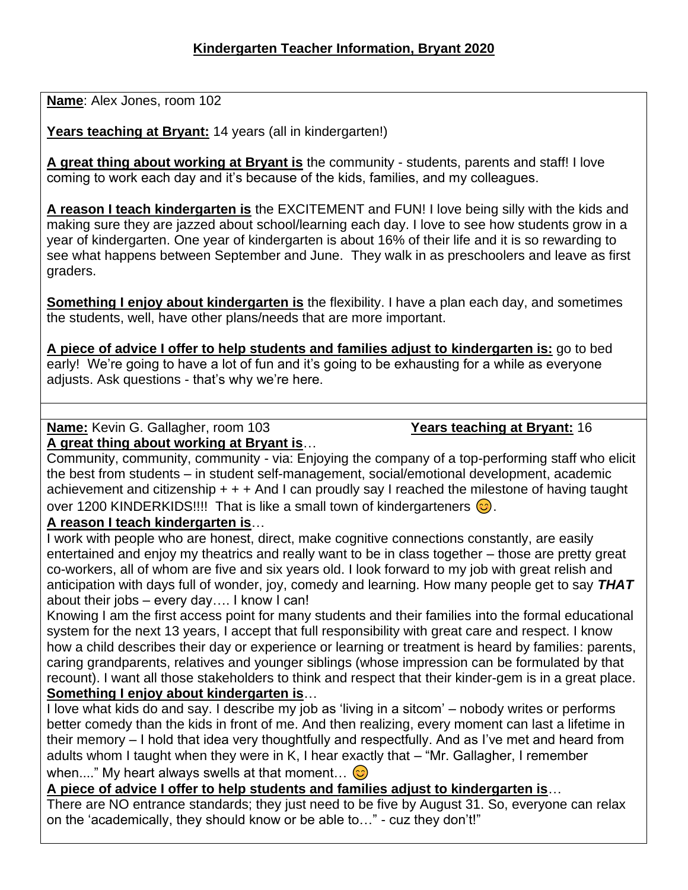**Name**: Alex Jones, room 102

**Years teaching at Bryant:** 14 years (all in kindergarten!)

**A great thing about working at Bryant is** the community - students, parents and staff! I love coming to work each day and it's because of the kids, families, and my colleagues.

**A reason I teach kindergarten is** the EXCITEMENT and FUN! I love being silly with the kids and making sure they are jazzed about school/learning each day. I love to see how students grow in a year of kindergarten. One year of kindergarten is about 16% of their life and it is so rewarding to see what happens between September and June. They walk in as preschoolers and leave as first graders.

**Something I enjoy about kindergarten is** the flexibility. I have a plan each day, and sometimes the students, well, have other plans/needs that are more important.

**A piece of advice I offer to help students and families adjust to kindergarten is:** go to bed early! We're going to have a lot of fun and it's going to be exhausting for a while as everyone adjusts. Ask questions - that's why we're here.

**Name:** Kevin G. Gallagher, room 103 **Years teaching at Bryant:** 16

**A great thing about working at Bryant is**…

Community, community, community - via: Enjoying the company of a top-performing staff who elicit the best from students – in student self-management, social/emotional development, academic achievement and citizenship  $+ + +$  And I can proudly say I reached the milestone of having taught over 1200 KINDERKIDS!!!! That is like a small town of kindergarteners  $\odot$ .

# **A reason I teach kindergarten is**…

I work with people who are honest, direct, make cognitive connections constantly, are easily entertained and enjoy my theatrics and really want to be in class together – those are pretty great co-workers, all of whom are five and six years old. I look forward to my job with great relish and anticipation with days full of wonder, joy, comedy and learning. How many people get to say *THAT* about their jobs – every day…. I know I can!

Knowing I am the first access point for many students and their families into the formal educational system for the next 13 years, I accept that full responsibility with great care and respect. I know how a child describes their day or experience or learning or treatment is heard by families: parents, caring grandparents, relatives and younger siblings (whose impression can be formulated by that recount). I want all those stakeholders to think and respect that their kinder-gem is in a great place. **Something I enjoy about kindergarten is**…

I love what kids do and say. I describe my job as 'living in a sitcom' – nobody writes or performs better comedy than the kids in front of me. And then realizing, every moment can last a lifetime in their memory – I hold that idea very thoughtfully and respectfully. And as I've met and heard from adults whom I taught when they were in K, I hear exactly that – "Mr. Gallagher, I remember when...." My heart always swells at that moment...  $\odot$ 

**A piece of advice I offer to help students and families adjust to kindergarten is**…

There are NO entrance standards; they just need to be five by August 31. So, everyone can relax on the 'academically, they should know or be able to…" - cuz they don't!"